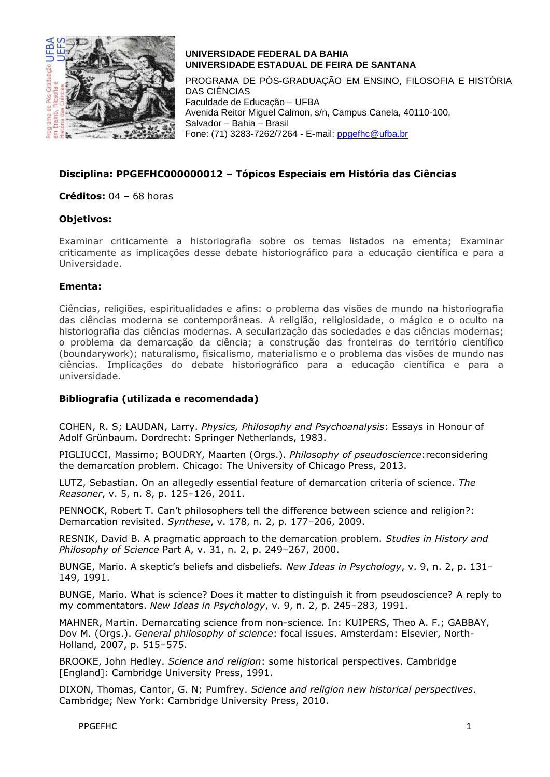

# **UNIVERSIDADE FEDERAL DA BAHIA UNIVERSIDADE ESTADUAL DE FEIRA DE SANTANA**

PROGRAMA DE PÓS-GRADUAÇÃO EM ENSINO, FILOSOFIA E HISTÓRIA DAS CIÊNCIAS Faculdade de Educação – UFBA Avenida Reitor Miguel Calmon, s/n, Campus Canela, 40110-100, Salvador – Bahia – Brasil Fone: (71) 3283-7262/7264 - E-mail: [ppgefhc@ufba.br](mailto:ppgefhc@ufba.br)

## **Disciplina: PPGEFHC000000012 – Tópicos Especiais em História das Ciências**

**Créditos:** 04 – 68 horas

#### **Objetivos:**

Examinar criticamente a historiografia sobre os temas listados na ementa; Examinar criticamente as implicações desse debate historiográfico para a educação científica e para a Universidade.

#### **Ementa:**

Ciências, religiões, espiritualidades e afins: o problema das visões de mundo na historiografia das ciências moderna se contemporâneas. A religião, religiosidade, o mágico e o oculto na historiografia das ciências modernas. A secularização das sociedades e das ciências modernas; o problema da demarcação da ciência; a construção das fronteiras do território científico (boundarywork); naturalismo, fisicalismo, materialismo e o problema das visões de mundo nas ciências. Implicações do debate historiográfico para a educação científica e para a universidade.

### **Bibliografia (utilizada e recomendada)**

COHEN, R. S; LAUDAN, Larry. *Physics, Philosophy and Psychoanalysis*: Essays in Honour of Adolf Grünbaum. Dordrecht: Springer Netherlands, 1983.

PIGLIUCCI, Massimo; BOUDRY, Maarten (Orgs.). *Philosophy of pseudoscience*:reconsidering the demarcation problem. Chicago: The University of Chicago Press, 2013.

LUTZ, Sebastian. On an allegedly essential feature of demarcation criteria of science. *The Reasoner*, v. 5, n. 8, p. 125–126, 2011.

PENNOCK, Robert T. Can't philosophers tell the difference between science and religion?: Demarcation revisited. *Synthese*, v. 178, n. 2, p. 177–206, 2009.

RESNIK, David B. A pragmatic approach to the demarcation problem. *Studies in History and Philosophy of Science* Part A, v. 31, n. 2, p. 249–267, 2000.

BUNGE, Mario. A skeptic's beliefs and disbeliefs. *New Ideas in Psychology*, v. 9, n. 2, p. 131– 149, 1991.

BUNGE, Mario. What is science? Does it matter to distinguish it from pseudoscience? A reply to my commentators. *New Ideas in Psychology*, v. 9, n. 2, p. 245–283, 1991.

MAHNER, Martin. Demarcating science from non-science. In: KUIPERS, Theo A. F.; GABBAY, Dov M. (Orgs.). *General philosophy of science*: focal issues. Amsterdam: Elsevier, North-Holland, 2007, p. 515–575.

BROOKE, John Hedley. *Science and religion*: some historical perspectives. Cambridge [England]: Cambridge University Press, 1991.

DIXON, Thomas, Cantor, G. N; Pumfrey. *Science and religion new historical perspectives*. Cambridge; New York: Cambridge University Press, 2010.

PPGEFHC 1